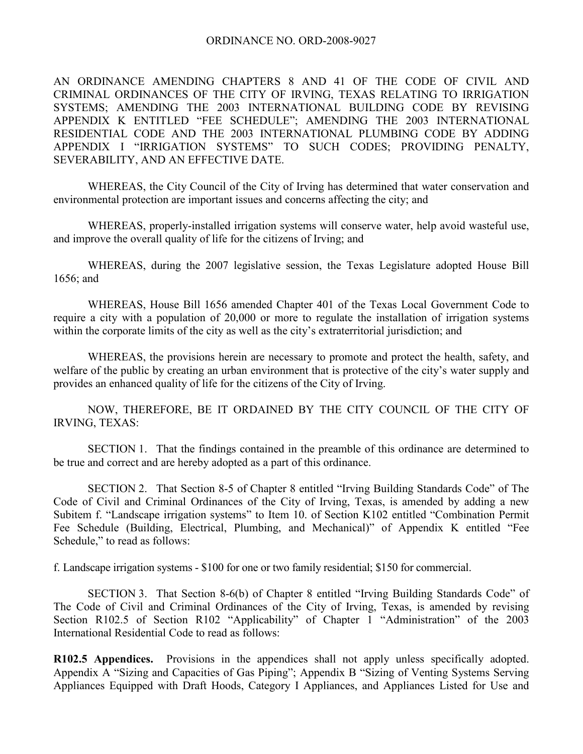AN ORDINANCE AMENDING CHAPTERS 8 AND 41 OF THE CODE OF CIVIL AND CRIMINAL ORDINANCES OF THE CITY OF IRVING, TEXAS RELATING TO IRRIGATION SYSTEMS; AMENDING THE 2003 INTERNATIONAL BUILDING CODE BY REVISING APPENDIX K ENTITLED "FEE SCHEDULE"; AMENDING THE 2003 INTERNATIONAL RESIDENTIAL CODE AND THE 2003 INTERNATIONAL PLUMBING CODE BY ADDING APPENDIX I "IRRIGATION SYSTEMS" TO SUCH CODES; PROVIDING PENALTY, SEVERABILITY, AND AN EFFECTIVE DATE.

 WHEREAS, the City Council of the City of Irving has determined that water conservation and environmental protection are important issues and concerns affecting the city; and

 WHEREAS, properly-installed irrigation systems will conserve water, help avoid wasteful use, and improve the overall quality of life for the citizens of Irving; and

 WHEREAS, during the 2007 legislative session, the Texas Legislature adopted House Bill 1656; and

 WHEREAS, House Bill 1656 amended Chapter 401 of the Texas Local Government Code to require a city with a population of 20,000 or more to regulate the installation of irrigation systems within the corporate limits of the city as well as the city's extraterritorial jurisdiction; and

 WHEREAS, the provisions herein are necessary to promote and protect the health, safety, and welfare of the public by creating an urban environment that is protective of the city's water supply and provides an enhanced quality of life for the citizens of the City of Irving.

NOW, THEREFORE, BE IT ORDAINED BY THE CITY COUNCIL OF THE CITY OF IRVING, TEXAS:

 SECTION 1. That the findings contained in the preamble of this ordinance are determined to be true and correct and are hereby adopted as a part of this ordinance.

 SECTION 2. That Section 8-5 of Chapter 8 entitled "Irving Building Standards Code" of The Code of Civil and Criminal Ordinances of the City of Irving, Texas, is amended by adding a new Subitem f. "Landscape irrigation systems" to Item 10. of Section K102 entitled "Combination Permit Fee Schedule (Building, Electrical, Plumbing, and Mechanical)" of Appendix K entitled "Fee Schedule," to read as follows:

f. Landscape irrigation systems - \$100 for one or two family residential; \$150 for commercial.

 SECTION 3. That Section 8-6(b) of Chapter 8 entitled "Irving Building Standards Code" of The Code of Civil and Criminal Ordinances of the City of Irving, Texas, is amended by revising Section R102.5 of Section R102 "Applicability" of Chapter 1 "Administration" of the 2003 International Residential Code to read as follows:

**R102.5 Appendices.** Provisions in the appendices shall not apply unless specifically adopted. Appendix A "Sizing and Capacities of Gas Piping"; Appendix B "Sizing of Venting Systems Serving Appliances Equipped with Draft Hoods, Category I Appliances, and Appliances Listed for Use and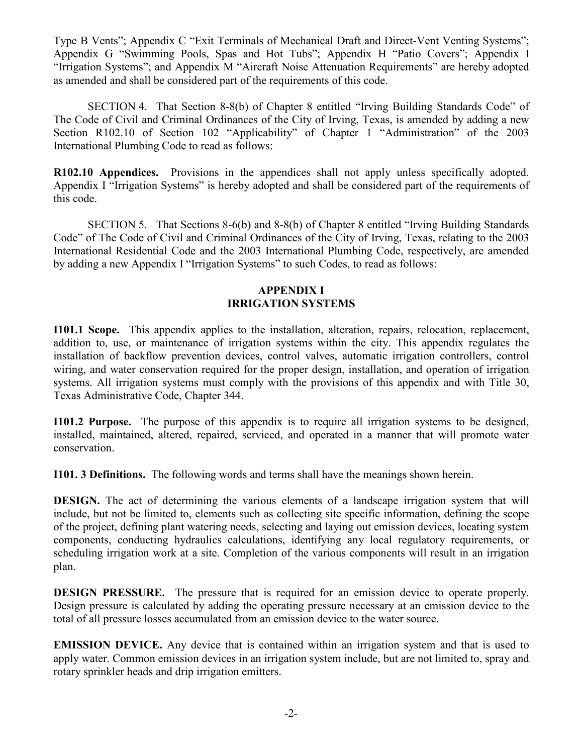Type B Vents"; Appendix C "Exit Terminals of Mechanical Draft and Direct-Vent Venting Systems"; Appendix G "Swimming Pools, Spas and Hot Tubs"; Appendix H "Patio Covers"; Appendix I "Irrigation Systems"; and Appendix M "Aircraft Noise Attenuation Requirements" are hereby adopted as amended and shall be considered part of the requirements of this code.

 SECTION 4. That Section 8-8(b) of Chapter 8 entitled "Irving Building Standards Code" of The Code of Civil and Criminal Ordinances of the City of Irving, Texas, is amended by adding a new Section R102.10 of Section 102 "Applicability" of Chapter 1 "Administration" of the 2003 International Plumbing Code to read as follows:

**R102.10 Appendices.** Provisions in the appendices shall not apply unless specifically adopted. Appendix I "Irrigation Systems" is hereby adopted and shall be considered part of the requirements of this code.

 SECTION 5. That Sections 8-6(b) and 8-8(b) of Chapter 8 entitled "Irving Building Standards Code" of The Code of Civil and Criminal Ordinances of the City of Irving, Texas, relating to the 2003 International Residential Code and the 2003 International Plumbing Code, respectively, are amended by adding a new Appendix I "Irrigation Systems" to such Codes, to read as follows:

## **APPENDIX I IRRIGATION SYSTEMS**

**I101.1 Scope.** This appendix applies to the installation, alteration, repairs, relocation, replacement, addition to, use, or maintenance of irrigation systems within the city. This appendix regulates the installation of backflow prevention devices, control valves, automatic irrigation controllers, control wiring, and water conservation required for the proper design, installation, and operation of irrigation systems. All irrigation systems must comply with the provisions of this appendix and with Title 30, Texas Administrative Code, Chapter 344.

**I101.2 Purpose.** The purpose of this appendix is to require all irrigation systems to be designed, installed, maintained, altered, repaired, serviced, and operated in a manner that will promote water conservation.

**I101. 3 Definitions.** The following words and terms shall have the meanings shown herein.

**DESIGN.** The act of determining the various elements of a landscape irrigation system that will include, but not be limited to, elements such as collecting site specific information, defining the scope of the project, defining plant watering needs, selecting and laying out emission devices, locating system components, conducting hydraulics calculations, identifying any local regulatory requirements, or scheduling irrigation work at a site. Completion of the various components will result in an irrigation plan.

**DESIGN PRESSURE.** The pressure that is required for an emission device to operate properly. Design pressure is calculated by adding the operating pressure necessary at an emission device to the total of all pressure losses accumulated from an emission device to the water source.

**EMISSION DEVICE.** Any device that is contained within an irrigation system and that is used to apply water. Common emission devices in an irrigation system include, but are not limited to, spray and rotary sprinkler heads and drip irrigation emitters.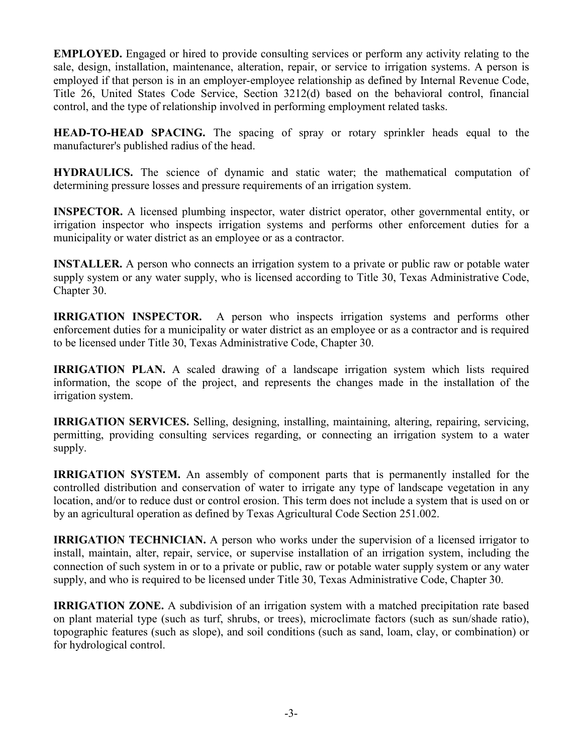**EMPLOYED.** Engaged or hired to provide consulting services or perform any activity relating to the sale, design, installation, maintenance, alteration, repair, or service to irrigation systems. A person is employed if that person is in an employer-employee relationship as defined by Internal Revenue Code, Title 26, United States Code Service, Section 3212(d) based on the behavioral control, financial control, and the type of relationship involved in performing employment related tasks.

**HEAD-TO-HEAD SPACING.** The spacing of spray or rotary sprinkler heads equal to the manufacturer's published radius of the head.

**HYDRAULICS.** The science of dynamic and static water; the mathematical computation of determining pressure losses and pressure requirements of an irrigation system.

**INSPECTOR.** A licensed plumbing inspector, water district operator, other governmental entity, or irrigation inspector who inspects irrigation systems and performs other enforcement duties for a municipality or water district as an employee or as a contractor.

**INSTALLER.** A person who connects an irrigation system to a private or public raw or potable water supply system or any water supply, who is licensed according to Title 30, Texas Administrative Code, Chapter 30.

**IRRIGATION INSPECTOR.** A person who inspects irrigation systems and performs other enforcement duties for a municipality or water district as an employee or as a contractor and is required to be licensed under Title 30, Texas Administrative Code, Chapter 30.

**IRRIGATION PLAN.** A scaled drawing of a landscape irrigation system which lists required information, the scope of the project, and represents the changes made in the installation of the irrigation system.

**IRRIGATION SERVICES.** Selling, designing, installing, maintaining, altering, repairing, servicing, permitting, providing consulting services regarding, or connecting an irrigation system to a water supply.

**IRRIGATION SYSTEM.** An assembly of component parts that is permanently installed for the controlled distribution and conservation of water to irrigate any type of landscape vegetation in any location, and/or to reduce dust or control erosion. This term does not include a system that is used on or by an agricultural operation as defined by Texas Agricultural Code Section 251.002.

**IRRIGATION TECHNICIAN.** A person who works under the supervision of a licensed irrigator to install, maintain, alter, repair, service, or supervise installation of an irrigation system, including the connection of such system in or to a private or public, raw or potable water supply system or any water supply, and who is required to be licensed under Title 30, Texas Administrative Code, Chapter 30.

**IRRIGATION ZONE.** A subdivision of an irrigation system with a matched precipitation rate based on plant material type (such as turf, shrubs, or trees), microclimate factors (such as sun/shade ratio), topographic features (such as slope), and soil conditions (such as sand, loam, clay, or combination) or for hydrological control.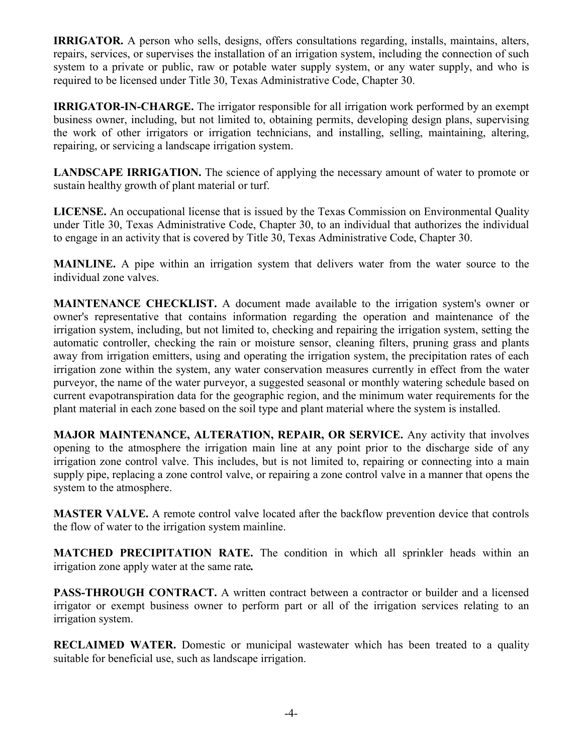**IRRIGATOR.** A person who sells, designs, offers consultations regarding, installs, maintains, alters, repairs, services, or supervises the installation of an irrigation system, including the connection of such system to a private or public, raw or potable water supply system, or any water supply, and who is required to be licensed under Title 30, Texas Administrative Code, Chapter 30.

**IRRIGATOR-IN-CHARGE.** The irrigator responsible for all irrigation work performed by an exempt business owner, including, but not limited to, obtaining permits, developing design plans, supervising the work of other irrigators or irrigation technicians, and installing, selling, maintaining, altering, repairing, or servicing a landscape irrigation system.

LANDSCAPE IRRIGATION. The science of applying the necessary amount of water to promote or sustain healthy growth of plant material or turf.

**LICENSE.** An occupational license that is issued by the Texas Commission on Environmental Quality under Title 30, Texas Administrative Code, Chapter 30, to an individual that authorizes the individual to engage in an activity that is covered by Title 30, Texas Administrative Code, Chapter 30.

**MAINLINE.** A pipe within an irrigation system that delivers water from the water source to the individual zone valves.

**MAINTENANCE CHECKLIST.** A document made available to the irrigation system's owner or owner's representative that contains information regarding the operation and maintenance of the irrigation system, including, but not limited to, checking and repairing the irrigation system, setting the automatic controller, checking the rain or moisture sensor, cleaning filters, pruning grass and plants away from irrigation emitters, using and operating the irrigation system, the precipitation rates of each irrigation zone within the system, any water conservation measures currently in effect from the water purveyor, the name of the water purveyor, a suggested seasonal or monthly watering schedule based on current evapotranspiration data for the geographic region, and the minimum water requirements for the plant material in each zone based on the soil type and plant material where the system is installed.

**MAJOR MAINTENANCE, ALTERATION, REPAIR, OR SERVICE.** Any activity that involves opening to the atmosphere the irrigation main line at any point prior to the discharge side of any irrigation zone control valve. This includes, but is not limited to, repairing or connecting into a main supply pipe, replacing a zone control valve, or repairing a zone control valve in a manner that opens the system to the atmosphere.

**MASTER VALVE.** A remote control valve located after the backflow prevention device that controls the flow of water to the irrigation system mainline.

**MATCHED PRECIPITATION RATE.** The condition in which all sprinkler heads within an irrigation zone apply water at the same rate*.* 

**PASS-THROUGH CONTRACT.** A written contract between a contractor or builder and a licensed irrigator or exempt business owner to perform part or all of the irrigation services relating to an irrigation system.

**RECLAIMED WATER.** Domestic or municipal wastewater which has been treated to a quality suitable for beneficial use, such as landscape irrigation.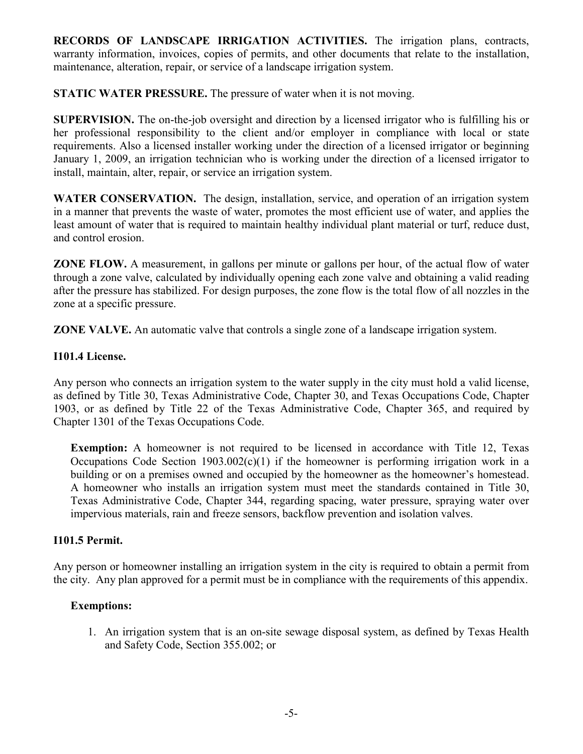**RECORDS OF LANDSCAPE IRRIGATION ACTIVITIES.** The irrigation plans, contracts, warranty information, invoices, copies of permits, and other documents that relate to the installation, maintenance, alteration, repair, or service of a landscape irrigation system.

**STATIC WATER PRESSURE.** The pressure of water when it is not moving.

**SUPERVISION.** The on-the-job oversight and direction by a licensed irrigator who is fulfilling his or her professional responsibility to the client and/or employer in compliance with local or state requirements. Also a licensed installer working under the direction of a licensed irrigator or beginning January 1, 2009, an irrigation technician who is working under the direction of a licensed irrigator to install, maintain, alter, repair, or service an irrigation system.

**WATER CONSERVATION.** The design, installation, service, and operation of an irrigation system in a manner that prevents the waste of water, promotes the most efficient use of water, and applies the least amount of water that is required to maintain healthy individual plant material or turf, reduce dust, and control erosion.

**ZONE FLOW.** A measurement, in gallons per minute or gallons per hour, of the actual flow of water through a zone valve, calculated by individually opening each zone valve and obtaining a valid reading after the pressure has stabilized. For design purposes, the zone flow is the total flow of all nozzles in the zone at a specific pressure.

**ZONE VALVE.** An automatic valve that controls a single zone of a landscape irrigation system.

# **I101.4 License.**

Any person who connects an irrigation system to the water supply in the city must hold a valid license, as defined by Title 30, Texas Administrative Code, Chapter 30, and Texas Occupations Code, Chapter 1903, or as defined by Title 22 of the Texas Administrative Code, Chapter 365, and required by Chapter 1301 of the Texas Occupations Code.

**Exemption:** A homeowner is not required to be licensed in accordance with Title 12, Texas Occupations Code Section  $1903.002(c)(1)$  if the homeowner is performing irrigation work in a building or on a premises owned and occupied by the homeowner as the homeowner's homestead. A homeowner who installs an irrigation system must meet the standards contained in Title 30, Texas Administrative Code, Chapter 344, regarding spacing, water pressure, spraying water over impervious materials, rain and freeze sensors, backflow prevention and isolation valves.

# **I101.5 Permit.**

Any person or homeowner installing an irrigation system in the city is required to obtain a permit from the city. Any plan approved for a permit must be in compliance with the requirements of this appendix.

# **Exemptions:**

1. An irrigation system that is an on-site sewage disposal system, as defined by Texas Health and Safety Code, Section 355.002; or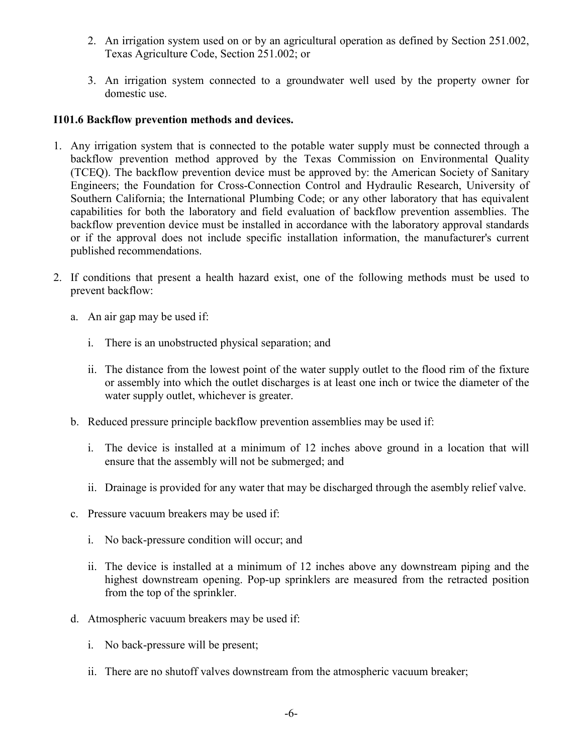- 2. An irrigation system used on or by an agricultural operation as defined by Section 251.002, Texas Agriculture Code, Section 251.002; or
- 3. An irrigation system connected to a groundwater well used by the property owner for domestic use.

## **I101.6 Backflow prevention methods and devices.**

- 1. Any irrigation system that is connected to the potable water supply must be connected through a backflow prevention method approved by the Texas Commission on Environmental Quality (TCEQ). The backflow prevention device must be approved by: the American Society of Sanitary Engineers; the Foundation for Cross-Connection Control and Hydraulic Research, University of Southern California; the International Plumbing Code; or any other laboratory that has equivalent capabilities for both the laboratory and field evaluation of backflow prevention assemblies. The backflow prevention device must be installed in accordance with the laboratory approval standards or if the approval does not include specific installation information, the manufacturer's current published recommendations.
- 2. If conditions that present a health hazard exist, one of the following methods must be used to prevent backflow:
	- a. An air gap may be used if:
		- i. There is an unobstructed physical separation; and
		- ii. The distance from the lowest point of the water supply outlet to the flood rim of the fixture or assembly into which the outlet discharges is at least one inch or twice the diameter of the water supply outlet, whichever is greater.
	- b. Reduced pressure principle backflow prevention assemblies may be used if:
		- i. The device is installed at a minimum of 12 inches above ground in a location that will ensure that the assembly will not be submerged; and
		- ii. Drainage is provided for any water that may be discharged through the asembly relief valve.
	- c. Pressure vacuum breakers may be used if:
		- i. No back-pressure condition will occur; and
		- ii. The device is installed at a minimum of 12 inches above any downstream piping and the highest downstream opening. Pop-up sprinklers are measured from the retracted position from the top of the sprinkler.
	- d. Atmospheric vacuum breakers may be used if:
		- i. No back-pressure will be present;
		- ii. There are no shutoff valves downstream from the atmospheric vacuum breaker;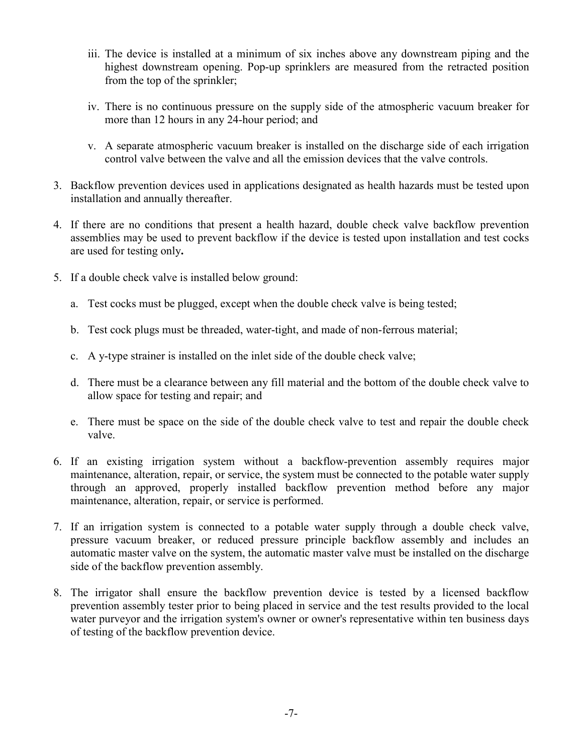- iii. The device is installed at a minimum of six inches above any downstream piping and the highest downstream opening. Pop-up sprinklers are measured from the retracted position from the top of the sprinkler;
- iv. There is no continuous pressure on the supply side of the atmospheric vacuum breaker for more than 12 hours in any 24-hour period; and
- v. A separate atmospheric vacuum breaker is installed on the discharge side of each irrigation control valve between the valve and all the emission devices that the valve controls.
- 3. Backflow prevention devices used in applications designated as health hazards must be tested upon installation and annually thereafter.
- 4. If there are no conditions that present a health hazard, double check valve backflow prevention assemblies may be used to prevent backflow if the device is tested upon installation and test cocks are used for testing only**.**
- 5. If a double check valve is installed below ground:
	- a. Test cocks must be plugged, except when the double check valve is being tested;
	- b. Test cock plugs must be threaded, water-tight, and made of non-ferrous material;
	- c. A y-type strainer is installed on the inlet side of the double check valve;
	- d. There must be a clearance between any fill material and the bottom of the double check valve to allow space for testing and repair; and
	- e. There must be space on the side of the double check valve to test and repair the double check valve.
- 6. If an existing irrigation system without a backflow-prevention assembly requires major maintenance, alteration, repair, or service, the system must be connected to the potable water supply through an approved, properly installed backflow prevention method before any major maintenance, alteration, repair, or service is performed.
- 7. If an irrigation system is connected to a potable water supply through a double check valve, pressure vacuum breaker, or reduced pressure principle backflow assembly and includes an automatic master valve on the system, the automatic master valve must be installed on the discharge side of the backflow prevention assembly.
- 8. The irrigator shall ensure the backflow prevention device is tested by a licensed backflow prevention assembly tester prior to being placed in service and the test results provided to the local water purveyor and the irrigation system's owner or owner's representative within ten business days of testing of the backflow prevention device.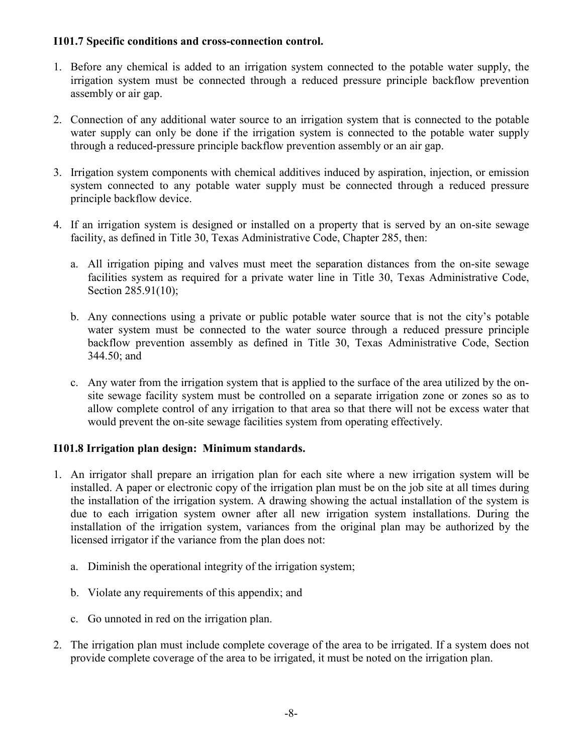# **I101.7 Specific conditions and cross-connection control.**

- 1. Before any chemical is added to an irrigation system connected to the potable water supply, the irrigation system must be connected through a reduced pressure principle backflow prevention assembly or air gap.
- 2. Connection of any additional water source to an irrigation system that is connected to the potable water supply can only be done if the irrigation system is connected to the potable water supply through a reduced-pressure principle backflow prevention assembly or an air gap.
- 3. Irrigation system components with chemical additives induced by aspiration, injection, or emission system connected to any potable water supply must be connected through a reduced pressure principle backflow device.
- 4. If an irrigation system is designed or installed on a property that is served by an on-site sewage facility, as defined in Title 30, Texas Administrative Code, Chapter 285, then:
	- a. All irrigation piping and valves must meet the separation distances from the on-site sewage facilities system as required for a private water line in Title 30, Texas Administrative Code, Section 285.91(10);
	- b. Any connections using a private or public potable water source that is not the city's potable water system must be connected to the water source through a reduced pressure principle backflow prevention assembly as defined in Title 30, Texas Administrative Code, Section 344.50; and
	- c. Any water from the irrigation system that is applied to the surface of the area utilized by the onsite sewage facility system must be controlled on a separate irrigation zone or zones so as to allow complete control of any irrigation to that area so that there will not be excess water that would prevent the on-site sewage facilities system from operating effectively.

# **I101.8 Irrigation plan design: Minimum standards.**

- 1. An irrigator shall prepare an irrigation plan for each site where a new irrigation system will be installed. A paper or electronic copy of the irrigation plan must be on the job site at all times during the installation of the irrigation system. A drawing showing the actual installation of the system is due to each irrigation system owner after all new irrigation system installations. During the installation of the irrigation system, variances from the original plan may be authorized by the licensed irrigator if the variance from the plan does not:
	- a. Diminish the operational integrity of the irrigation system;
	- b. Violate any requirements of this appendix; and
	- c. Go unnoted in red on the irrigation plan.
- 2. The irrigation plan must include complete coverage of the area to be irrigated. If a system does not provide complete coverage of the area to be irrigated, it must be noted on the irrigation plan.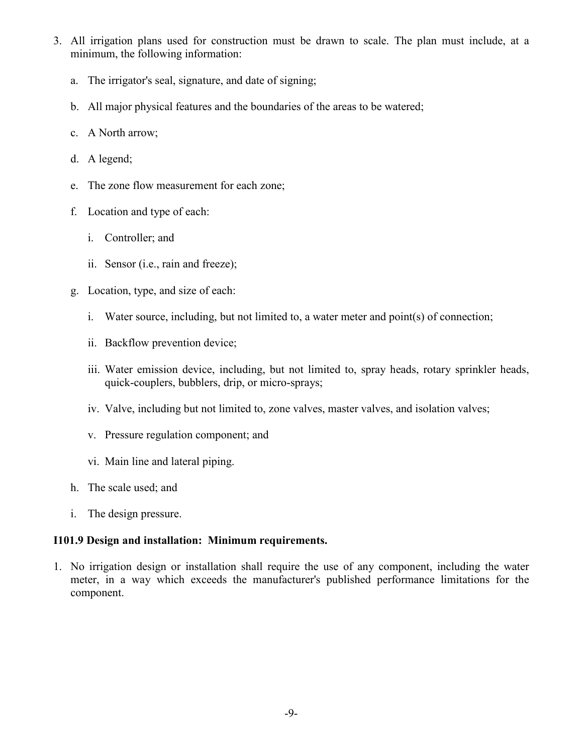- 3. All irrigation plans used for construction must be drawn to scale. The plan must include, at a minimum, the following information:
	- a. The irrigator's seal, signature, and date of signing;
	- b. All major physical features and the boundaries of the areas to be watered;
	- c. A North arrow;
	- d. A legend;
	- e. The zone flow measurement for each zone;
	- f. Location and type of each:
		- i. Controller; and
		- ii. Sensor (i.e., rain and freeze);
	- g. Location, type, and size of each:
		- i. Water source, including, but not limited to, a water meter and point(s) of connection;
		- ii. Backflow prevention device;
		- iii. Water emission device, including, but not limited to, spray heads, rotary sprinkler heads, quick-couplers, bubblers, drip, or micro-sprays;
		- iv. Valve, including but not limited to, zone valves, master valves, and isolation valves;
		- v. Pressure regulation component; and
		- vi. Main line and lateral piping.
	- h. The scale used; and
	- i. The design pressure.

# **I101.9 Design and installation: Minimum requirements.**

1. No irrigation design or installation shall require the use of any component, including the water meter, in a way which exceeds the manufacturer's published performance limitations for the component.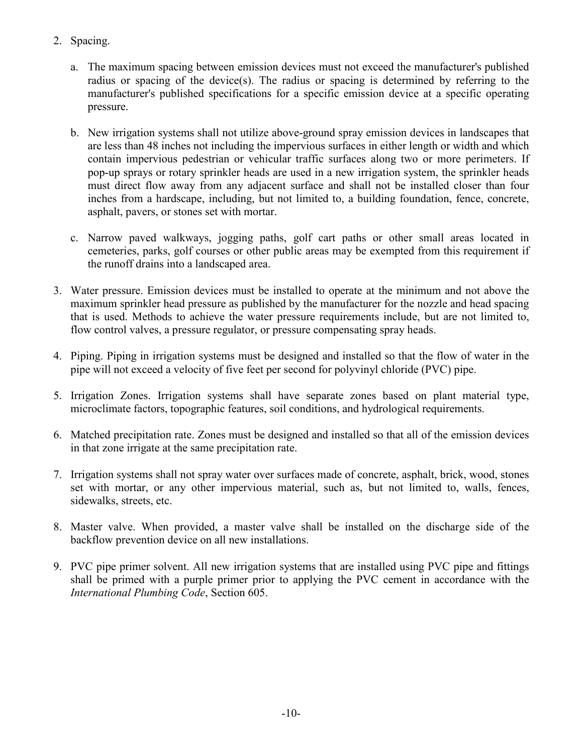- 2. Spacing.
	- a. The maximum spacing between emission devices must not exceed the manufacturer's published radius or spacing of the device(s). The radius or spacing is determined by referring to the manufacturer's published specifications for a specific emission device at a specific operating pressure.
	- b. New irrigation systems shall not utilize above-ground spray emission devices in landscapes that are less than 48 inches not including the impervious surfaces in either length or width and which contain impervious pedestrian or vehicular traffic surfaces along two or more perimeters. If pop-up sprays or rotary sprinkler heads are used in a new irrigation system, the sprinkler heads must direct flow away from any adjacent surface and shall not be installed closer than four inches from a hardscape, including, but not limited to, a building foundation, fence, concrete, asphalt, pavers, or stones set with mortar.
	- c. Narrow paved walkways, jogging paths, golf cart paths or other small areas located in cemeteries, parks, golf courses or other public areas may be exempted from this requirement if the runoff drains into a landscaped area.
- 3. Water pressure. Emission devices must be installed to operate at the minimum and not above the maximum sprinkler head pressure as published by the manufacturer for the nozzle and head spacing that is used. Methods to achieve the water pressure requirements include, but are not limited to, flow control valves, a pressure regulator, or pressure compensating spray heads.
- 4. Piping. Piping in irrigation systems must be designed and installed so that the flow of water in the pipe will not exceed a velocity of five feet per second for polyvinyl chloride (PVC) pipe.
- 5. Irrigation Zones. Irrigation systems shall have separate zones based on plant material type, microclimate factors, topographic features, soil conditions, and hydrological requirements.
- 6. Matched precipitation rate. Zones must be designed and installed so that all of the emission devices in that zone irrigate at the same precipitation rate.
- 7. Irrigation systems shall not spray water over surfaces made of concrete, asphalt, brick, wood, stones set with mortar, or any other impervious material, such as, but not limited to, walls, fences, sidewalks, streets, etc.
- 8. Master valve. When provided, a master valve shall be installed on the discharge side of the backflow prevention device on all new installations.
- 9. PVC pipe primer solvent. All new irrigation systems that are installed using PVC pipe and fittings shall be primed with a purple primer prior to applying the PVC cement in accordance with the *International Plumbing Code*, Section 605.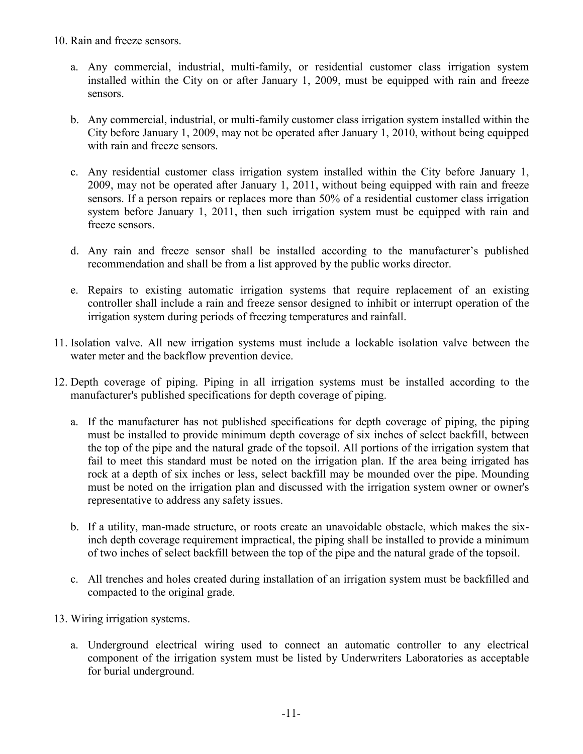10. Rain and freeze sensors.

- a. Any commercial, industrial, multi-family, or residential customer class irrigation system installed within the City on or after January 1, 2009, must be equipped with rain and freeze sensors.
- b. Any commercial, industrial, or multi-family customer class irrigation system installed within the City before January 1, 2009, may not be operated after January 1, 2010, without being equipped with rain and freeze sensors.
- c. Any residential customer class irrigation system installed within the City before January 1, 2009, may not be operated after January 1, 2011, without being equipped with rain and freeze sensors. If a person repairs or replaces more than 50% of a residential customer class irrigation system before January 1, 2011, then such irrigation system must be equipped with rain and freeze sensors.
- d. Any rain and freeze sensor shall be installed according to the manufacturer's published recommendation and shall be from a list approved by the public works director.
- e. Repairs to existing automatic irrigation systems that require replacement of an existing controller shall include a rain and freeze sensor designed to inhibit or interrupt operation of the irrigation system during periods of freezing temperatures and rainfall.
- 11. Isolation valve. All new irrigation systems must include a lockable isolation valve between the water meter and the backflow prevention device.
- 12. Depth coverage of piping. Piping in all irrigation systems must be installed according to the manufacturer's published specifications for depth coverage of piping.
	- a. If the manufacturer has not published specifications for depth coverage of piping, the piping must be installed to provide minimum depth coverage of six inches of select backfill, between the top of the pipe and the natural grade of the topsoil. All portions of the irrigation system that fail to meet this standard must be noted on the irrigation plan. If the area being irrigated has rock at a depth of six inches or less, select backfill may be mounded over the pipe. Mounding must be noted on the irrigation plan and discussed with the irrigation system owner or owner's representative to address any safety issues.
	- b. If a utility, man-made structure, or roots create an unavoidable obstacle, which makes the sixinch depth coverage requirement impractical, the piping shall be installed to provide a minimum of two inches of select backfill between the top of the pipe and the natural grade of the topsoil.
	- c. All trenches and holes created during installation of an irrigation system must be backfilled and compacted to the original grade.
- 13. Wiring irrigation systems.
	- a. Underground electrical wiring used to connect an automatic controller to any electrical component of the irrigation system must be listed by Underwriters Laboratories as acceptable for burial underground.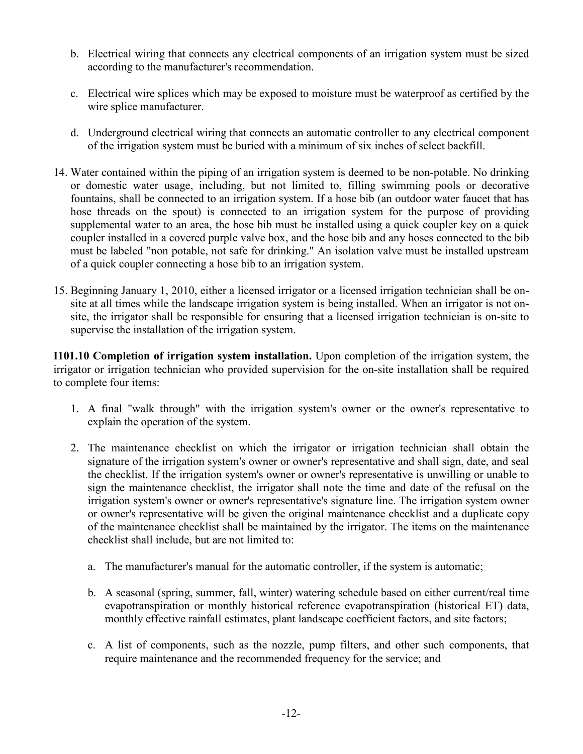- b. Electrical wiring that connects any electrical components of an irrigation system must be sized according to the manufacturer's recommendation.
- c. Electrical wire splices which may be exposed to moisture must be waterproof as certified by the wire splice manufacturer.
- d. Underground electrical wiring that connects an automatic controller to any electrical component of the irrigation system must be buried with a minimum of six inches of select backfill.
- 14. Water contained within the piping of an irrigation system is deemed to be non-potable. No drinking or domestic water usage, including, but not limited to, filling swimming pools or decorative fountains, shall be connected to an irrigation system. If a hose bib (an outdoor water faucet that has hose threads on the spout) is connected to an irrigation system for the purpose of providing supplemental water to an area, the hose bib must be installed using a quick coupler key on a quick coupler installed in a covered purple valve box, and the hose bib and any hoses connected to the bib must be labeled "non potable, not safe for drinking." An isolation valve must be installed upstream of a quick coupler connecting a hose bib to an irrigation system.
- 15. Beginning January 1, 2010, either a licensed irrigator or a licensed irrigation technician shall be onsite at all times while the landscape irrigation system is being installed. When an irrigator is not onsite, the irrigator shall be responsible for ensuring that a licensed irrigation technician is on-site to supervise the installation of the irrigation system.

**I101.10 Completion of irrigation system installation.** Upon completion of the irrigation system, the irrigator or irrigation technician who provided supervision for the on-site installation shall be required to complete four items:

- 1. A final "walk through" with the irrigation system's owner or the owner's representative to explain the operation of the system.
- 2. The maintenance checklist on which the irrigator or irrigation technician shall obtain the signature of the irrigation system's owner or owner's representative and shall sign, date, and seal the checklist. If the irrigation system's owner or owner's representative is unwilling or unable to sign the maintenance checklist, the irrigator shall note the time and date of the refusal on the irrigation system's owner or owner's representative's signature line. The irrigation system owner or owner's representative will be given the original maintenance checklist and a duplicate copy of the maintenance checklist shall be maintained by the irrigator. The items on the maintenance checklist shall include, but are not limited to:
	- a. The manufacturer's manual for the automatic controller, if the system is automatic;
	- b. A seasonal (spring, summer, fall, winter) watering schedule based on either current/real time evapotranspiration or monthly historical reference evapotranspiration (historical ET) data, monthly effective rainfall estimates, plant landscape coefficient factors, and site factors;
	- c. A list of components, such as the nozzle, pump filters, and other such components, that require maintenance and the recommended frequency for the service; and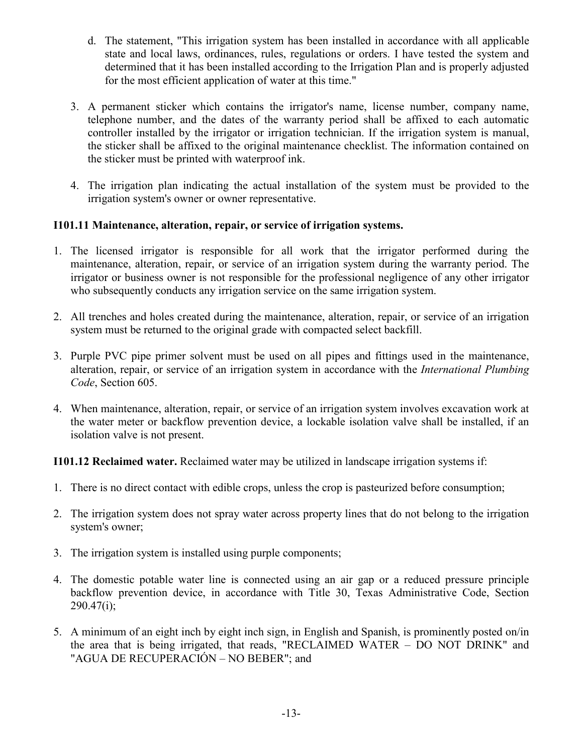- d. The statement, "This irrigation system has been installed in accordance with all applicable state and local laws, ordinances, rules, regulations or orders. I have tested the system and determined that it has been installed according to the Irrigation Plan and is properly adjusted for the most efficient application of water at this time."
- 3. A permanent sticker which contains the irrigator's name, license number, company name, telephone number, and the dates of the warranty period shall be affixed to each automatic controller installed by the irrigator or irrigation technician. If the irrigation system is manual, the sticker shall be affixed to the original maintenance checklist. The information contained on the sticker must be printed with waterproof ink.
- 4. The irrigation plan indicating the actual installation of the system must be provided to the irrigation system's owner or owner representative.

# **I101.11 Maintenance, alteration, repair, or service of irrigation systems.**

- 1. The licensed irrigator is responsible for all work that the irrigator performed during the maintenance, alteration, repair, or service of an irrigation system during the warranty period. The irrigator or business owner is not responsible for the professional negligence of any other irrigator who subsequently conducts any irrigation service on the same irrigation system.
- 2. All trenches and holes created during the maintenance, alteration, repair, or service of an irrigation system must be returned to the original grade with compacted select backfill.
- 3. Purple PVC pipe primer solvent must be used on all pipes and fittings used in the maintenance, alteration, repair, or service of an irrigation system in accordance with the *International Plumbing Code*, Section 605.
- 4. When maintenance, alteration, repair, or service of an irrigation system involves excavation work at the water meter or backflow prevention device, a lockable isolation valve shall be installed, if an isolation valve is not present.

**I101.12 Reclaimed water.** Reclaimed water may be utilized in landscape irrigation systems if:

- 1. There is no direct contact with edible crops, unless the crop is pasteurized before consumption;
- 2. The irrigation system does not spray water across property lines that do not belong to the irrigation system's owner;
- 3. The irrigation system is installed using purple components;
- 4. The domestic potable water line is connected using an air gap or a reduced pressure principle backflow prevention device, in accordance with Title 30, Texas Administrative Code, Section  $290.47(i)$ ;
- 5. A minimum of an eight inch by eight inch sign, in English and Spanish, is prominently posted on/in the area that is being irrigated, that reads, "RECLAIMED WATER – DO NOT DRINK" and "AGUA DE RECUPERACIÓN – NO BEBER"; and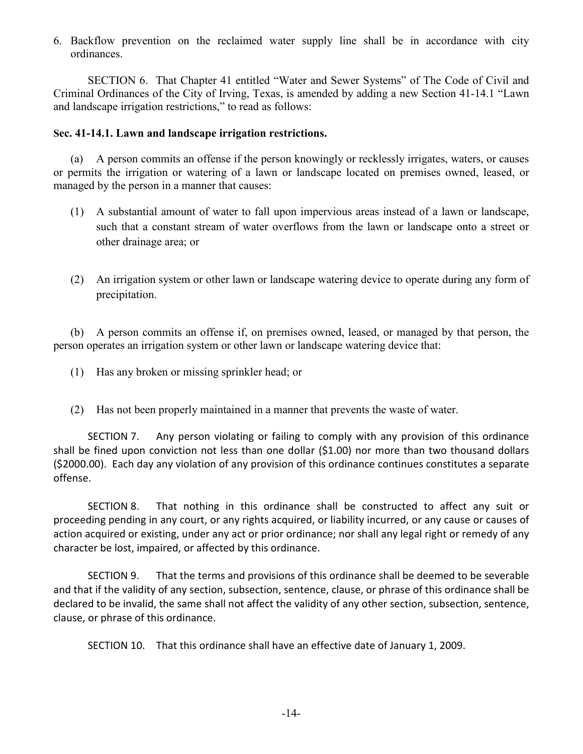6. Backflow prevention on the reclaimed water supply line shall be in accordance with city ordinances.

 SECTION 6. That Chapter 41 entitled "Water and Sewer Systems" of The Code of Civil and Criminal Ordinances of the City of Irving, Texas, is amended by adding a new Section 41-14.1 "Lawn and landscape irrigation restrictions," to read as follows:

#### **Sec. 41-14.1. Lawn and landscape irrigation restrictions.**

(a) A person commits an offense if the person knowingly or recklessly irrigates, waters, or causes or permits the irrigation or watering of a lawn or landscape located on premises owned, leased, or managed by the person in a manner that causes:

- (1) A substantial amount of water to fall upon impervious areas instead of a lawn or landscape, such that a constant stream of water overflows from the lawn or landscape onto a street or other drainage area; or
- (2) An irrigation system or other lawn or landscape watering device to operate during any form of precipitation.

(b) A person commits an offense if, on premises owned, leased, or managed by that person, the person operates an irrigation system or other lawn or landscape watering device that:

- (1) Has any broken or missing sprinkler head; or
- (2) Has not been properly maintained in a manner that prevents the waste of water.

 SECTION 7. Any person violating or failing to comply with any provision of this ordinance shall be fined upon conviction not less than one dollar (\$1.00) nor more than two thousand dollars (\$2000.00). Each day any violation of any provision of this ordinance continues constitutes a separate offense.

 SECTION 8. That nothing in this ordinance shall be constructed to affect any suit or proceeding pending in any court, or any rights acquired, or liability incurred, or any cause or causes of action acquired or existing, under any act or prior ordinance; nor shall any legal right or remedy of any character be lost, impaired, or affected by this ordinance.

 SECTION 9. That the terms and provisions of this ordinance shall be deemed to be severable and that if the validity of any section, subsection, sentence, clause, or phrase of this ordinance shall be declared to be invalid, the same shall not affect the validity of any other section, subsection, sentence, clause, or phrase of this ordinance.

SECTION 10. That this ordinance shall have an effective date of January 1, 2009.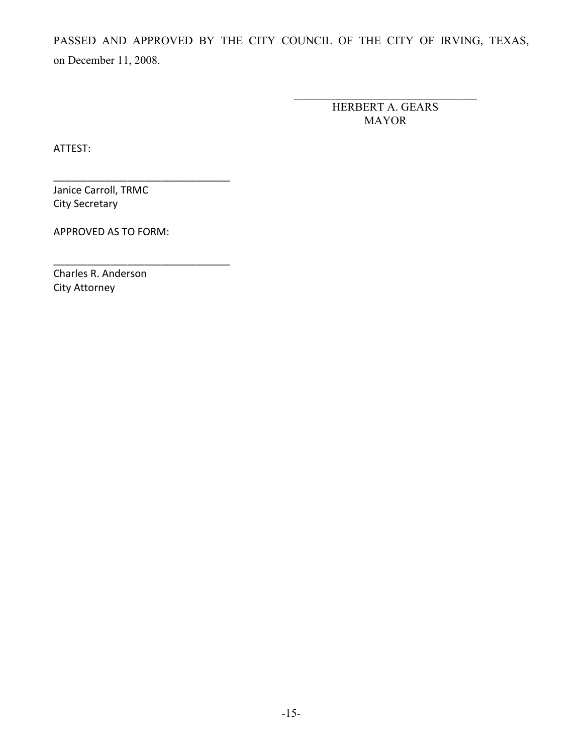PASSED AND APPROVED BY THE CITY COUNCIL OF THE CITY OF IRVING, TEXAS, on December 11, 2008.

> HERBERT A. GEARS MAYOR

\_\_\_\_\_\_\_\_\_\_\_\_\_\_\_\_\_\_\_\_\_\_\_\_\_\_\_\_\_\_\_\_

ATTEST:

Janice Carroll, TRMC City Secretary

APPROVED AS TO FORM:

\_\_\_\_\_\_\_\_\_\_\_\_\_\_\_\_\_\_\_\_\_\_\_\_\_\_\_\_\_\_\_

\_\_\_\_\_\_\_\_\_\_\_\_\_\_\_\_\_\_\_\_\_\_\_\_\_\_\_\_\_\_\_

Charles R. Anderson City Attorney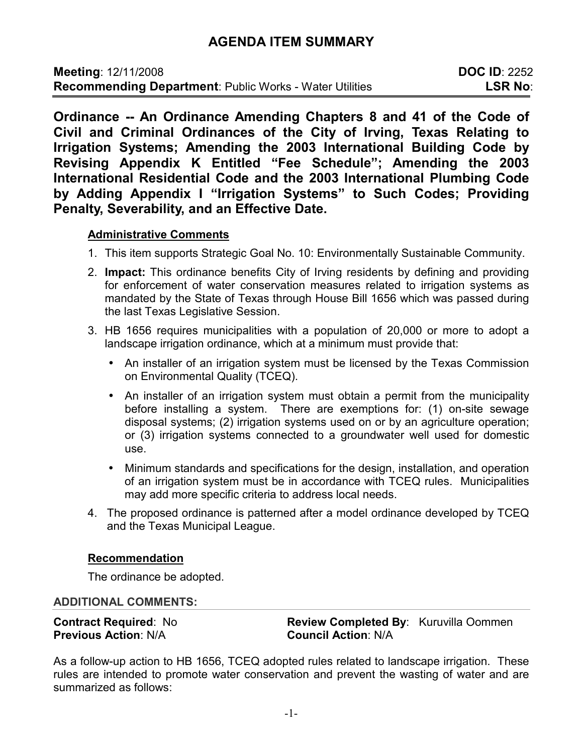# **AGENDA ITEM SUMMARY**

**Ordinance -- An Ordinance Amending Chapters 8 and 41 of the Code of Civil and Criminal Ordinances of the City of Irving, Texas Relating to Irrigation Systems; Amending the 2003 International Building Code by Revising Appendix K Entitled "Fee Schedule"; Amending the 2003 International Residential Code and the 2003 International Plumbing Code by Adding Appendix I "Irrigation Systems" to Such Codes; Providing Penalty, Severability, and an Effective Date.** 

# **Administrative Comments**

- 1. This item supports Strategic Goal No. 10: Environmentally Sustainable Community.
- 2. **Impact:** This ordinance benefits City of Irving residents by defining and providing for enforcement of water conservation measures related to irrigation systems as mandated by the State of Texas through House Bill 1656 which was passed during the last Texas Legislative Session.
- 3. HB 1656 requires municipalities with a population of 20,000 or more to adopt a landscape irrigation ordinance, which at a minimum must provide that:
	- An installer of an irrigation system must be licensed by the Texas Commission on Environmental Quality (TCEQ).
	- An installer of an irrigation system must obtain a permit from the municipality before installing a system. There are exemptions for: (1) on-site sewage disposal systems; (2) irrigation systems used on or by an agriculture operation; or (3) irrigation systems connected to a groundwater well used for domestic use.
	- Minimum standards and specifications for the design, installation, and operation of an irrigation system must be in accordance with TCEQ rules. Municipalities may add more specific criteria to address local needs.
- 4. The proposed ordinance is patterned after a model ordinance developed by TCEQ and the Texas Municipal League.

# **Recommendation**

The ordinance be adopted.

#### **ADDITIONAL COMMENTS:**

**Previous Action**: N/A **Council Action**: N/A

**Contract Required**: No **Review Completed By**: Kuruvilla Oommen

As a follow-up action to HB 1656, TCEQ adopted rules related to landscape irrigation. These rules are intended to promote water conservation and prevent the wasting of water and are summarized as follows: